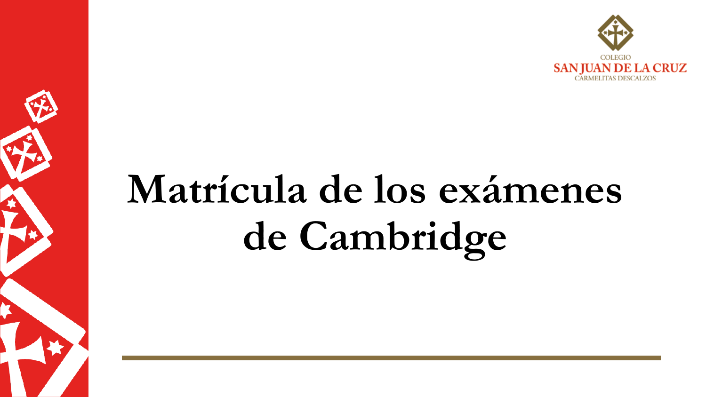

# Matrícula de los exámenes de Cambridge

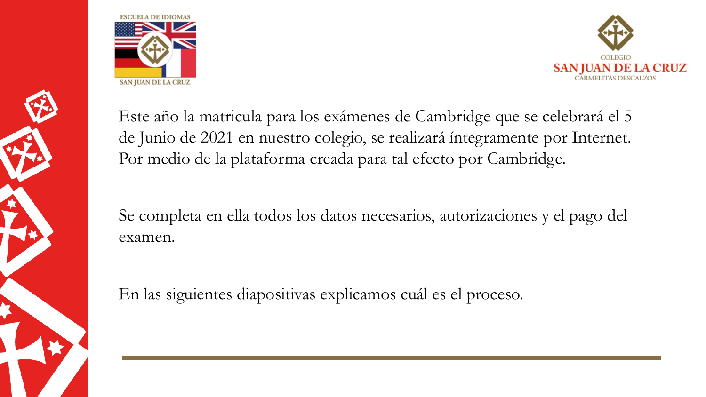





Este año la matricula para los exámenes de Cambridge que se celebrará el 5 de Junio de 2021 en nuestro colegio, se realizará íntegramente por Internet. Por medio de la plataforma creada para tal efecto por Cambridge.

Se completa en ella todos los datos necesarios, autorizaciones y el pago del examen.

En las siguientes diapositivas explicamos cuál es el proceso.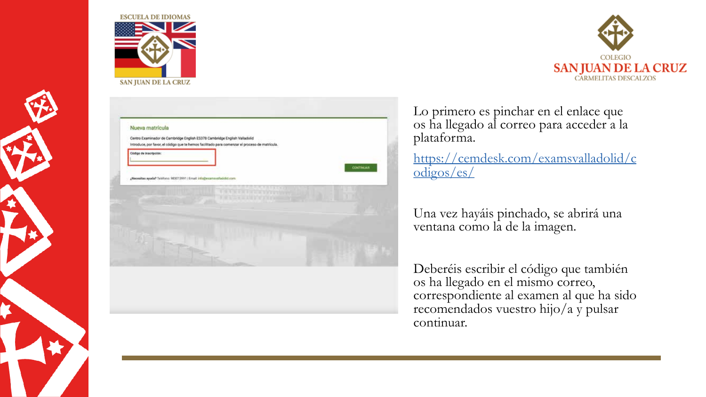





Lo primero es pinchar en el enlace que os ha llegado al correo para acceder a la plataforma.

https://cemdesk.com/examsvalladolid/c  $odigos/es/$ 

Una vez hayáis pinchado, se abrirá una ventana como la de la imagen.

Deberéis escribir el código que también<br>os ha llegado en el mismo correo,<br>correspondiente al examen al que ha sido<br>recomendados vuestro hijo/a y pulsar continuar.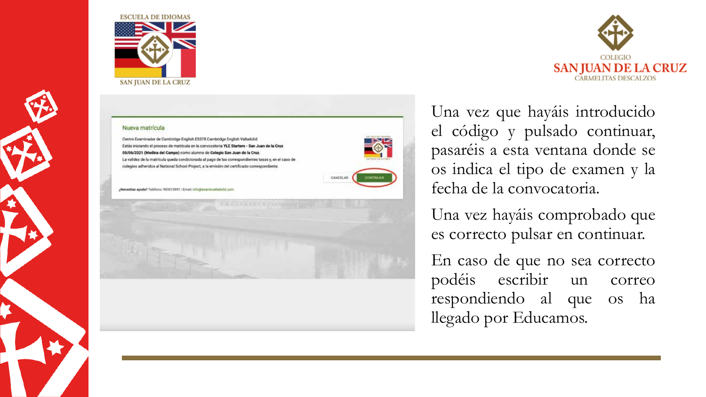



## Nueva matrícula

Centro Examinador de Cambridge English ES378 Cambridge English Valladolid Estás iniciando el proceso de matrícula en la convocatoria YLE Starters - San Juan de la Cruz 05/06/2021 (Medina del Campo) como alumno de Colegio San Juan de la Cruz. La validez de la matricula queda condicionada al pago de las correspondientes tasas y, en el caso de colegios adheridos al National School Project, a la emisión del certificado correspondiente.

¿Necesitas ayuda? Teléfono: 983013991 | Email: Info@exammualladolid.com



CONTINUAS

CANCELAR

Una vez que hayáis introducido el código y pulsado continuar, pasaréis a esta ventana donde se os indica el tipo de examen y la fecha de la convocatoria.

Una vez hayáis comprobado que es correcto pulsar en continuar.

En caso de que no sea correcto podéis escribir un correo respondiendo al que os ha llegado por Educamos.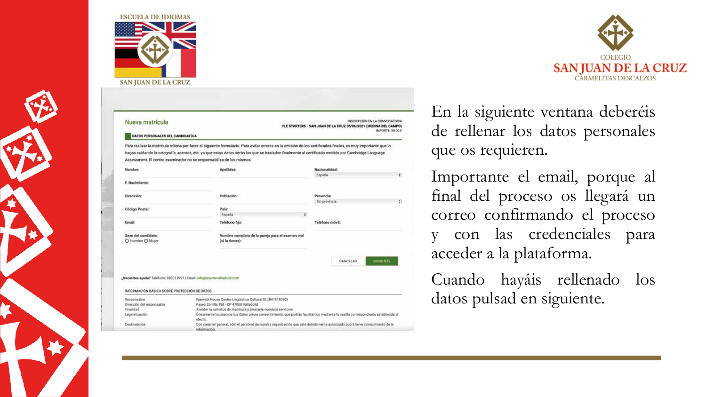

| Nueva matrícula<br>DATOS PERSONALES DEL CANDIDATO/A | 10/2020 - 20/2020 - 20/2020 02/2020 22/20                                                                                                                                                                                  | INSCRIPCIÓN EN LA CONVOCATORIA<br>YLE STARTERS - SAN JUAN DE LA CRUZ 05/06/2021 (MEDINA DEL CAMPO)<br>IMPORTE: 59.00 € |    |
|-----------------------------------------------------|----------------------------------------------------------------------------------------------------------------------------------------------------------------------------------------------------------------------------|------------------------------------------------------------------------------------------------------------------------|----|
|                                                     | Para realizar la matrícula rellena por favor el siguiente formulario. Para evitar errores en la emisión de los certificados finales, es muy importante que lo                                                              |                                                                                                                        |    |
|                                                     | hagas cuidando la ortografía, acentos, etc. ya que estos datos serán los que se trasladen finalmente al certificado emitido por Cambridge Language<br>Assessment. El centro examinador no se responsabiliza de los mismos. |                                                                                                                        |    |
|                                                     |                                                                                                                                                                                                                            |                                                                                                                        |    |
| Nombre:                                             | Apellidos:                                                                                                                                                                                                                 | Nacionalidad:                                                                                                          |    |
| F. Nackmiento:                                      |                                                                                                                                                                                                                            | España                                                                                                                 | ÷. |
| Dirección:                                          | Población:                                                                                                                                                                                                                 | <b>Provincia:</b>                                                                                                      |    |
|                                                     |                                                                                                                                                                                                                            | Sin provincia                                                                                                          | ٠Đ |
|                                                     | Pais:<br>España                                                                                                                                                                                                            | $\epsilon$                                                                                                             |    |
|                                                     |                                                                                                                                                                                                                            |                                                                                                                        |    |
| Código Postal:<br><b>Email:</b>                     | Teléfono fijo:                                                                                                                                                                                                             | Teléfono móvil:                                                                                                        |    |

(Necesitas ayuda? Teléfono: 983013991 | Email: info@examevalladolid.com

#### INFORMACIÓN BÁSICA SOBRE PROTECCIÓN DE DATOS

| Responsable                                       | Wanwick House Centro Lingüístico Cultural SL (B47618392)                                                                                                                                                                                                                                                                                                        |
|---------------------------------------------------|-----------------------------------------------------------------------------------------------------------------------------------------------------------------------------------------------------------------------------------------------------------------------------------------------------------------------------------------------------------------|
| Dirección del responsable                         | Paseo Zorrilla 198 - CP 47008 Valladolid                                                                                                                                                                                                                                                                                                                        |
| Finalidad                                         | Atender tu solicitud de matrícula y prestarte nuestros servicios.                                                                                                                                                                                                                                                                                               |
| Legimitización                                    | Unicamente trataremos tus datos previo consentimiento, que podrás facilitarnos mediante la casilla correspondiente establecida al<br>efecto.                                                                                                                                                                                                                    |
| Destinatarios<br>All Part of Concession, National | Con carácter general, sólo el personal de nuestra organización que esté debidamente autorizado podrá tener conocimiento de la<br>información de composition de la contradiction de la composición de la contradictiva de la composición de la composición de la composición de la composición de la composición de la composición de la composición de la compo |

**CANCELAR** 



En la siguiente ventana deberéis de rellenar los datos personales que os requieren.

Importante el email, porque al final del proceso os llegará un correo confirmando el proceso y con las credenciales para acceder a la plataforma.

Cuando hayáis rellenado los datos pulsad en siguiente.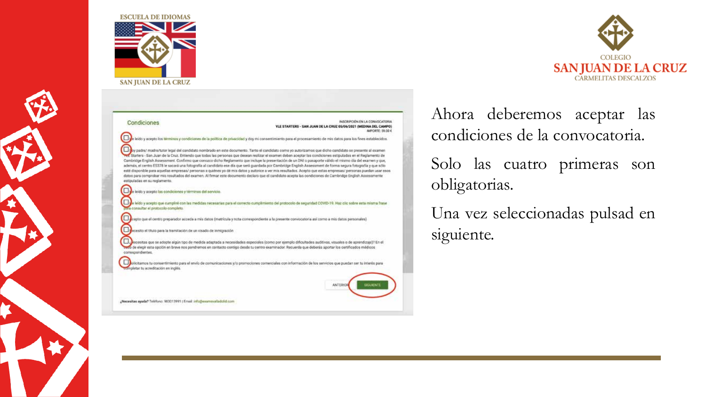



#### Condiciones

INSCRIPCIÓN EN LA CONVOCATORIA YLE STARTERS - SAN JUAN DE LA CRUZ 05/06/2021 (MEDINA DEL CAMPO) IMPORTE: 59.00 K

eldo y acepto los términos y condiciones de la política de privacidad y doy mi consentimiento para el procesamiento de mis datos para los fines establecidos.

py padre/ madre/tutor legal del candidato nombrado en este documento. Tanto el candidato como yo autorizamos que dicho candidato se cresente al examen<br>Estantera - San Juan de la Cruz, Emiendo que todas las personas que des Cambridge English Assessment. Confirmo que conozco dicho Reglamento que incluye la presentación de un DNI o pasaporte válido el mismo día del examen y que, además, el centro ES378 le sacará una fotografía al candidato ese día que será guardada por Cambridge English Assessment de forma segura fotografía y que sólo esté disponíble para aquellas empresas/ personas a quiénes yo dé mis datos y autorice a ver mis resultados. Acepto que estas empresas/ personas puedan usar esco. datos para comprobar mis resultados del examen. Al firmar este documento declaro que el candidato acepta las condiciones de Cambridge English Assessmente estipuladas en su reglamento.

Due leido y acepto las condiciones y términos del servicio.

e leído y acepto que cumpliré con las medidas necesarias para el convecto cumplimiento del protocolo de segundad COVID-19. Haz clic sobre esta misma frase para consultar el protocolo completo.

cepto que el centro preparador acceda a mis datos (matricula y nota correspondiente a la presente convocatoria así como a mis datos personales)

ecesito el título para la tramitación de un visado de inmigración

Decesitas que se adopte algún tipo de medida adaptada a necesidades especiales (como por elemplo dificultades auditivas, visuales o de aprendizaje)? En el two de elegir esta opción en breve nos pondremos en contacto contigo desde tu centro examinador. Recuerda que deberás aportar los certificados médicos correspondientes.

solicitamos tu consentimiento para el envio de comunicaciones y/o promociones comerciales con información de los servicios que puedan ser tu interés para completar tu acreditación en inglés.

**ANTERIOR** 

¿Necesitas ayuda? Teléfono: 983013991 | Email: info@examsvalladolid.com

Ahora deberemos aceptar las condiciones de la convocatoria. Solo las cuatro primeras son obligatorias.

Una vez seleccionadas pulsad en siguiente.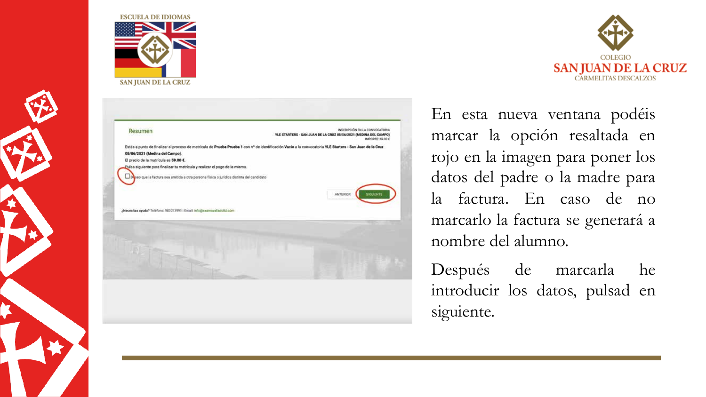

|                                                                                        | INSCRIPCIÓN EN LA CONVOCATORIA<br>YLE STARTERS - SAN JUAN DE LA CRUZ 05/06/2021 (MEDINA DEL CAMPO)<br>IMPORTE: 59.00 €                                    |
|----------------------------------------------------------------------------------------|-----------------------------------------------------------------------------------------------------------------------------------------------------------|
|                                                                                        | Estás a punto de finalizar el proceso de matricula de Prueba Prueba 1 con nº de identificación Vacío a la convocatoria YLE Starters - San Juan de la Cruz |
| 05/06/2021 (Medina del Campo).<br>El precio de la matrícula es 59.00 €.                |                                                                                                                                                           |
| Pulsa siguiente para finalizar tu matrícula y realizar el pago de la misma.            |                                                                                                                                                           |
| seo que la factura sea emitida a otra persona física o juridica distinta del candidato |                                                                                                                                                           |
|                                                                                        |                                                                                                                                                           |
|                                                                                        | <b>ANTERIOR</b><br>SIGURENTE                                                                                                                              |
|                                                                                        |                                                                                                                                                           |
| ¿Necesitas ayuda? Teléfono: 983013991 : Email: info@examavalladolid.com                |                                                                                                                                                           |
|                                                                                        |                                                                                                                                                           |
|                                                                                        |                                                                                                                                                           |
|                                                                                        |                                                                                                                                                           |
|                                                                                        |                                                                                                                                                           |
|                                                                                        |                                                                                                                                                           |



En esta nueva ventana podéis marcar la opción resaltada en rojo en la imagen para poner los datos del padre o la madre para la factura. En caso de no marcarlo la factura se generará a nombre del alumno.

Después de marcarla he introducir los datos, pulsad en siguiente.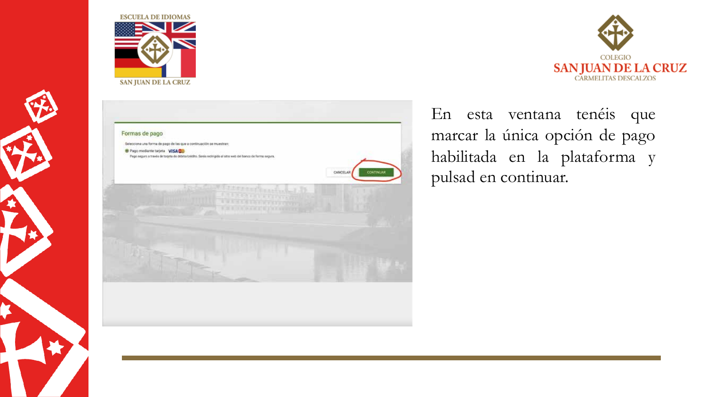

Formas de pago





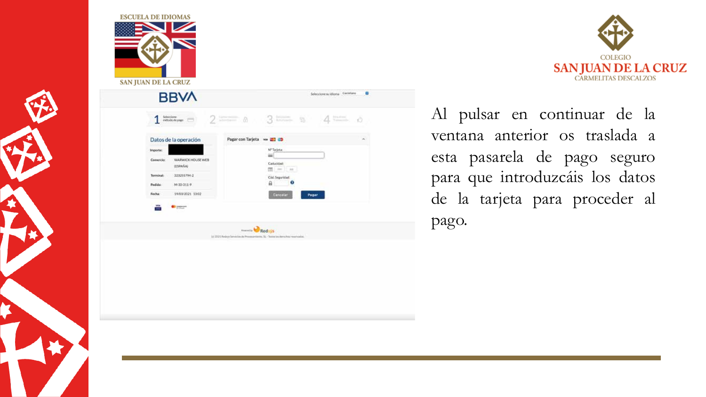

| $\frac{1}{2}$ $\frac{1}{2}$ $\frac{1}{2}$ $\frac{1}{2}$ $\frac{1}{2}$ $\frac{1}{2}$ $\frac{1}{2}$ $\frac{1}{2}$ $\frac{1}{2}$ $\frac{1}{2}$ $\frac{1}{2}$ $\frac{1}{2}$ $\frac{1}{2}$ $\frac{1}{2}$ $\frac{1}{2}$ $\frac{1}{2}$ $\frac{1}{2}$ $\frac{1}{2}$ $\frac{1}{2}$ $\frac{1}{2}$ $\frac{1}{2}$ $\frac{1}{2}$<br>$\Delta :=$<br>Ŏ |
|-----------------------------------------------------------------------------------------------------------------------------------------------------------------------------------------------------------------------------------------------------------------------------------------------------------------------------------------|
|                                                                                                                                                                                                                                                                                                                                         |
| R,<br>Pagar con Tarjeta www 2021                                                                                                                                                                                                                                                                                                        |
| N"Tarjeta:                                                                                                                                                                                                                                                                                                                              |
| ≕<br>Caducidad:<br>$\frac{1}{200}$ . (see 21, as .)                                                                                                                                                                                                                                                                                     |
| Cod Seguridad:                                                                                                                                                                                                                                                                                                                          |
| $\theta$<br>Ω                                                                                                                                                                                                                                                                                                                           |
| Cancelar<br>Pagar                                                                                                                                                                                                                                                                                                                       |
|                                                                                                                                                                                                                                                                                                                                         |
| ments Redsys                                                                                                                                                                                                                                                                                                                            |
| 1/2001 Redna Servicios da Programáveza, SL - Todos los demohas reservados.                                                                                                                                                                                                                                                              |



Al pulsar en continuar de la ventana anterior os traslada a esta pasarela de pago seguro para que introduzcáis los datos de la tarjeta para proceder al pago.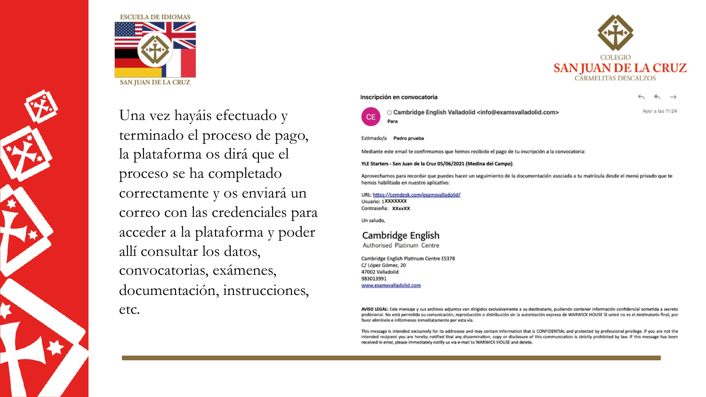



Una vez hayáis efectuado y terminado el proceso de pago, la plataforma os dirá que el proceso se ha completado correctamente y os enviará un correo con las credenciales para acceder a la plataforma y poder allí consultar los datos, convocatorias, exámenes, documentación, instrucciones, etc.

## Inscripción en convocatoria

Aver a las 11:24



○ Cambridge English Valladolid <info@examsvalladolid.com>

Estimado/a Pedro prueba

Mediante este email te confirmamos que hemos recibido el pago de tu inscripción a la convocatoria:

### YLE Starters - San Juan de la Cruz 05/06/2021 (Medina del Campo).

Aprovechamos para recordar que puedes hacer un seguimiento de la documentación asociada a tu matrícula desde el menú privado que te hemos habilitado en nuestro aplicativo:

URL: https://cemdesk.com/examsvalladolid/ Usuario: 1XXXXXXX Contraseña: XXxxXX

Un saludo,

## Cambridge English

Authorised Platinum Centre

Cambridge English Platinum Centre ES378 C/ López Gómez, 20 47002 Valladolid 983013991 www.examsvalladolid.com

AVISO LEGAL: Este mensaje y sus archivos adjuntos van dirigidos exclusivamente a su destinatario, pudiendo contener información confidencial sometida a secreto profesional. No está permitida su comunicación, reproducción o distribución sin la autorización expresa de WARWICK HOUSE Si usted no es el destinatario final, por favor elimínelo e infórmenos inmediatamente por esta vía.

This message is intended exclusively for its addressee and may contain information that is CONFIDENTIAL and protected by professional privilege. If you are not the intended recipient you are hereby notified that any dissemination, copy or disclosure of this communication is strictly prohibited by law. If this message has been received in error, please immediately notify us via e-mail to WARWICK HOUSE and delete.

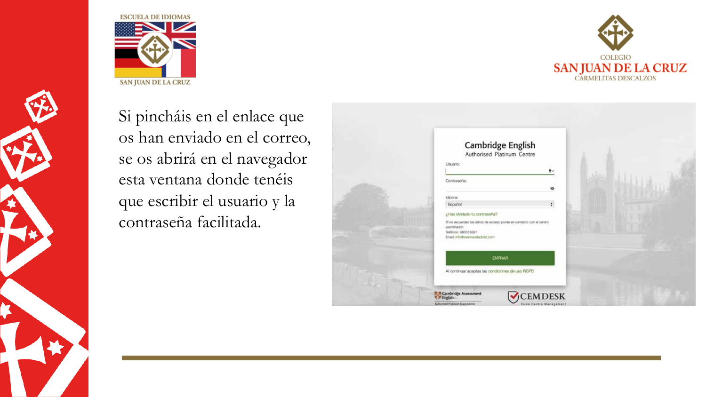



Si pincháis en el enlace que os han enviado en el correo, se os abrirá en el navegador esta ventana donde tenéis que escribir el usuario y la contraseña facilitada.

| Cambridge English<br>Authorised Platinum Centre                                                                                                                                |  |
|--------------------------------------------------------------------------------------------------------------------------------------------------------------------------------|--|
| Lisuano:<br>$\mathbf{F}$                                                                                                                                                       |  |
| Contrasera:<br>發                                                                                                                                                               |  |
| Idioma:<br>$\ddot{\ast}$<br>Español                                                                                                                                            |  |
| ¿Has olvidado tu contraseña?<br>3) no recuerdas tus datos de acceso ponte en contacto con el centro-<br>examinador:<br>Telefono: 983013991<br>Email: info@examsustactolict.com |  |
| <b>ENTRAR</b>                                                                                                                                                                  |  |
| Al continuar aceptas las condiciones de uso RGPD                                                                                                                               |  |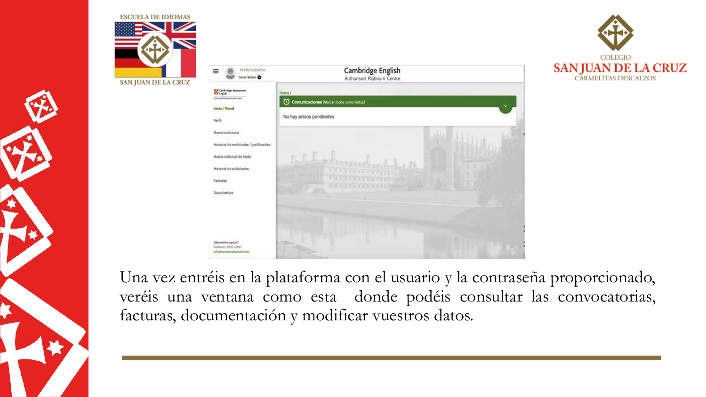





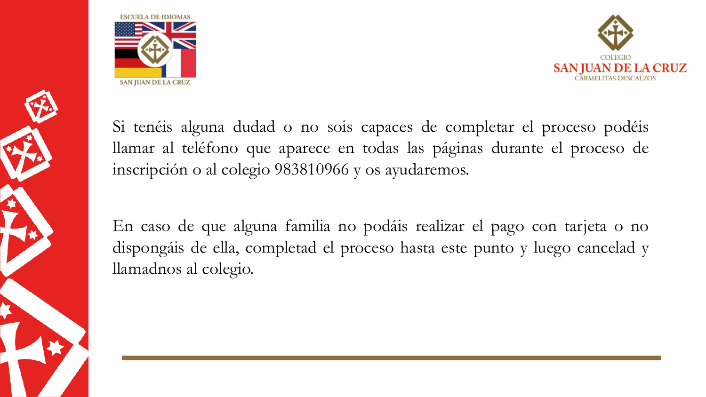



Si tenéis alguna dudad o no sois capaces de completar el proceso podéis llamar al teléfono que aparece en todas las páginas durante el proceso de inscripción o al colegio 983810966 y os ayudaremos.

En caso de que alguna familia no podáis realizar el pago con tarjeta o no dispongáis de ella, completad el proceso hasta este punto y luego cancelad y llamadnos al colegio.